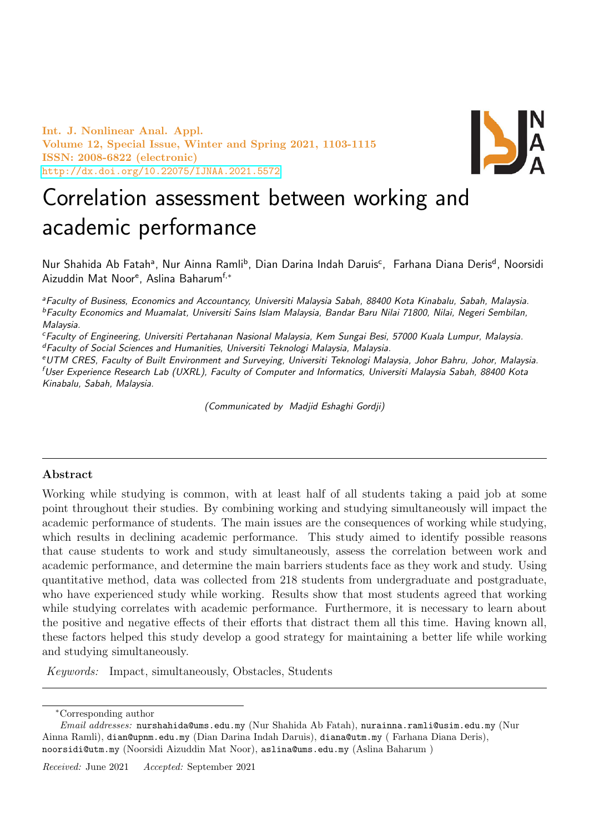Int. J. Nonlinear Anal. Appl. Volume 12, Special Issue, Winter and Spring 2021, 1103-1115 ISSN: 2008-6822 (electronic) <http://dx.doi.org/10.22075/IJNAA.2021.5572>



# Correlation assessment between working and academic performance

Nur Shahida Ab Fatahª, Nur Ainna Ramli<sup>b</sup>, Dian Darina Indah Daruis<sup>c</sup>, Farhana Diana Deris<sup>d</sup>, Noorsidi Aizuddin Mat Noor<sup>e</sup>, Aslina Baharum<sup>f,∗</sup>

<sup>a</sup>Faculty of Business, Economics and Accountancy, Universiti Malaysia Sabah, 88400 Kota Kinabalu, Sabah, Malaysia. <sup>b</sup>Faculty Economics and Muamalat, Universiti Sains Islam Malaysia, Bandar Baru Nilai 71800, Nilai, Negeri Sembilan, Malaysia.

<sup>c</sup>Faculty of Engineering, Universiti Pertahanan Nasional Malaysia, Kem Sungai Besi, 57000 Kuala Lumpur, Malaysia. <sup>d</sup>Faculty of Social Sciences and Humanities, Universiti Teknologi Malaysia, Malaysia.

<sup>e</sup>UTM CRES, Faculty of Built Environment and Surveying, Universiti Teknologi Malaysia, Johor Bahru, Johor, Malaysia. <sup>f</sup>User Experience Research Lab (UXRL), Faculty of Computer and Informatics, Universiti Malaysia Sabah, 88400 Kota Kinabalu, Sabah, Malaysia.

(Communicated by Madjid Eshaghi Gordji)

## Abstract

Working while studying is common, with at least half of all students taking a paid job at some point throughout their studies. By combining working and studying simultaneously will impact the academic performance of students. The main issues are the consequences of working while studying, which results in declining academic performance. This study aimed to identify possible reasons that cause students to work and study simultaneously, assess the correlation between work and academic performance, and determine the main barriers students face as they work and study. Using quantitative method, data was collected from 218 students from undergraduate and postgraduate, who have experienced study while working. Results show that most students agreed that working while studying correlates with academic performance. Furthermore, it is necessary to learn about the positive and negative effects of their efforts that distract them all this time. Having known all, these factors helped this study develop a good strategy for maintaining a better life while working and studying simultaneously.

Keywords: Impact, simultaneously, Obstacles, Students

<sup>∗</sup>Corresponding author

Email addresses: nurshahida@ums.edu.my (Nur Shahida Ab Fatah), nurainna.ramli@usim.edu.my (Nur Ainna Ramli), dian@upnm.edu.my (Dian Darina Indah Daruis), diana@utm.my ( Farhana Diana Deris), noorsidi@utm.my (Noorsidi Aizuddin Mat Noor), aslina@ums.edu.my (Aslina Baharum )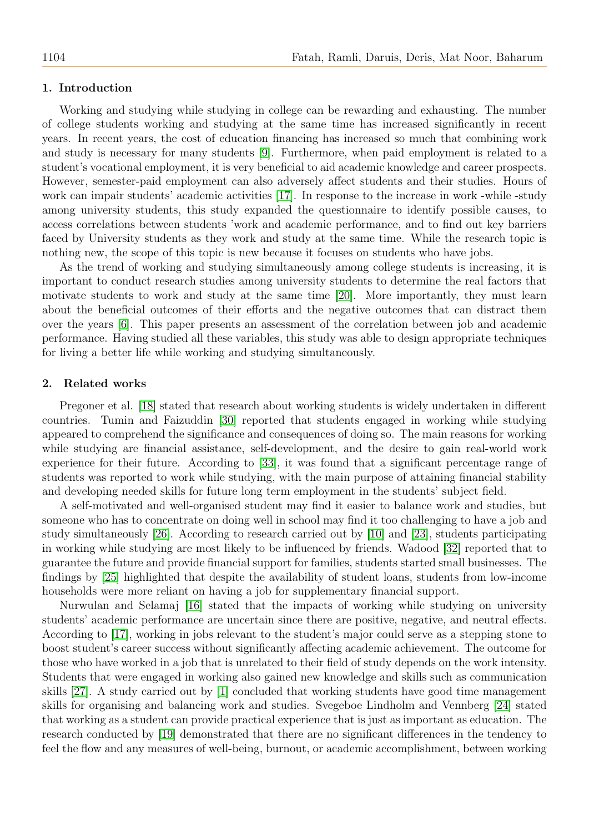#### 1. Introduction

Working and studying while studying in college can be rewarding and exhausting. The number of college students working and studying at the same time has increased significantly in recent years. In recent years, the cost of education financing has increased so much that combining work and study is necessary for many students [\[9\]](#page-11-0). Furthermore, when paid employment is related to a student's vocational employment, it is very beneficial to aid academic knowledge and career prospects. However, semester-paid employment can also adversely affect students and their studies. Hours of work can impair students' academic activities [\[17\]](#page-11-1). In response to the increase in work -while -study among university students, this study expanded the questionnaire to identify possible causes, to access correlations between students 'work and academic performance, and to find out key barriers faced by University students as they work and study at the same time. While the research topic is nothing new, the scope of this topic is new because it focuses on students who have jobs.

As the trend of working and studying simultaneously among college students is increasing, it is important to conduct research studies among university students to determine the real factors that motivate students to work and study at the same time [\[20\]](#page-12-0). More importantly, they must learn about the beneficial outcomes of their efforts and the negative outcomes that can distract them over the years [\[6\]](#page-11-2). This paper presents an assessment of the correlation between job and academic performance. Having studied all these variables, this study was able to design appropriate techniques for living a better life while working and studying simultaneously.

#### 2. Related works

Pregoner et al. [\[18\]](#page-11-3) stated that research about working students is widely undertaken in different countries. Tumin and Faizuddin [\[30\]](#page-12-1) reported that students engaged in working while studying appeared to comprehend the significance and consequences of doing so. The main reasons for working while studying are financial assistance, self-development, and the desire to gain real-world work experience for their future. According to [\[33\]](#page-12-2), it was found that a significant percentage range of students was reported to work while studying, with the main purpose of attaining financial stability and developing needed skills for future long term employment in the students' subject field.

A self-motivated and well-organised student may find it easier to balance work and studies, but someone who has to concentrate on doing well in school may find it too challenging to have a job and study simultaneously [\[26\]](#page-12-3). According to research carried out by [\[10\]](#page-11-4) and [\[23\]](#page-12-4), students participating in working while studying are most likely to be influenced by friends. Wadood [\[32\]](#page-12-5) reported that to guarantee the future and provide financial support for families, students started small businesses. The findings by [\[25\]](#page-12-6) highlighted that despite the availability of student loans, students from low-income households were more reliant on having a job for supplementary financial support.

Nurwulan and Selamaj [\[16\]](#page-11-5) stated that the impacts of working while studying on university students' academic performance are uncertain since there are positive, negative, and neutral effects. According to [\[17\]](#page-11-1), working in jobs relevant to the student's major could serve as a stepping stone to boost student's career success without significantly affecting academic achievement. The outcome for those who have worked in a job that is unrelated to their field of study depends on the work intensity. Students that were engaged in working also gained new knowledge and skills such as communication skills [\[27\]](#page-12-7). A study carried out by [\[1\]](#page-11-6) concluded that working students have good time management skills for organising and balancing work and studies. Svegeboe Lindholm and Vennberg [\[24\]](#page-12-8) stated that working as a student can provide practical experience that is just as important as education. The research conducted by [\[19\]](#page-11-7) demonstrated that there are no significant differences in the tendency to feel the flow and any measures of well-being, burnout, or academic accomplishment, between working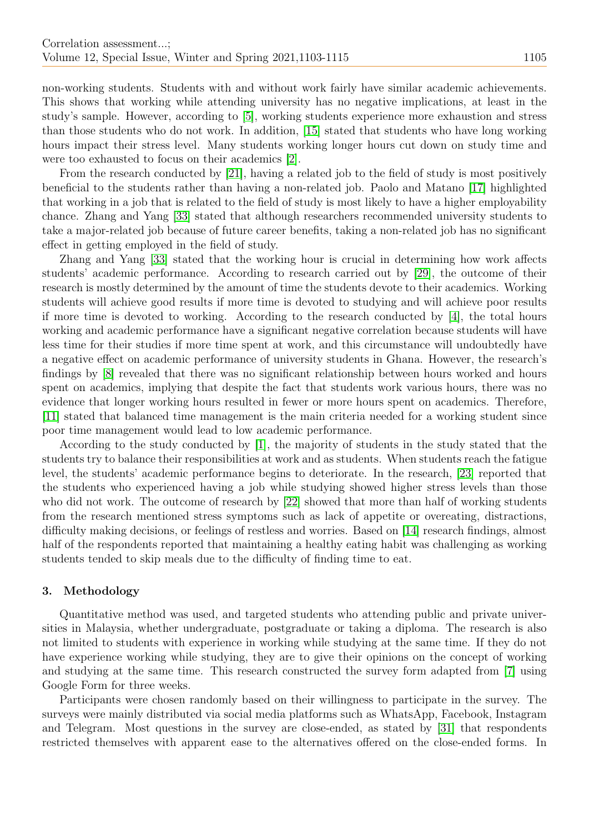non-working students. Students with and without work fairly have similar academic achievements. This shows that working while attending university has no negative implications, at least in the study's sample. However, according to [\[5\]](#page-11-8), working students experience more exhaustion and stress than those students who do not work. In addition, [\[15\]](#page-11-9) stated that students who have long working hours impact their stress level. Many students working longer hours cut down on study time and were too exhausted to focus on their academics [\[2\]](#page-11-10).

From the research conducted by [\[21\]](#page-12-9), having a related job to the field of study is most positively beneficial to the students rather than having a non-related job. Paolo and Matano [\[17\]](#page-11-1) highlighted that working in a job that is related to the field of study is most likely to have a higher employability chance. Zhang and Yang [\[33\]](#page-12-2) stated that although researchers recommended university students to take a major-related job because of future career benefits, taking a non-related job has no significant effect in getting employed in the field of study.

Zhang and Yang [\[33\]](#page-12-2) stated that the working hour is crucial in determining how work affects students' academic performance. According to research carried out by [\[29\]](#page-12-10), the outcome of their research is mostly determined by the amount of time the students devote to their academics. Working students will achieve good results if more time is devoted to studying and will achieve poor results if more time is devoted to working. According to the research conducted by [\[4\]](#page-11-11), the total hours working and academic performance have a significant negative correlation because students will have less time for their studies if more time spent at work, and this circumstance will undoubtedly have a negative effect on academic performance of university students in Ghana. However, the research's findings by [\[8\]](#page-11-12) revealed that there was no significant relationship between hours worked and hours spent on academics, implying that despite the fact that students work various hours, there was no evidence that longer working hours resulted in fewer or more hours spent on academics. Therefore, [\[11\]](#page-11-13) stated that balanced time management is the main criteria needed for a working student since poor time management would lead to low academic performance.

According to the study conducted by [\[1\]](#page-11-6), the majority of students in the study stated that the students try to balance their responsibilities at work and as students. When students reach the fatigue level, the students' academic performance begins to deteriorate. In the research, [\[23\]](#page-12-4) reported that the students who experienced having a job while studying showed higher stress levels than those who did not work. The outcome of research by [\[22\]](#page-12-11) showed that more than half of working students from the research mentioned stress symptoms such as lack of appetite or overeating, distractions, difficulty making decisions, or feelings of restless and worries. Based on [\[14\]](#page-11-14) research findings, almost half of the respondents reported that maintaining a healthy eating habit was challenging as working students tended to skip meals due to the difficulty of finding time to eat.

## 3. Methodology

Quantitative method was used, and targeted students who attending public and private universities in Malaysia, whether undergraduate, postgraduate or taking a diploma. The research is also not limited to students with experience in working while studying at the same time. If they do not have experience working while studying, they are to give their opinions on the concept of working and studying at the same time. This research constructed the survey form adapted from [\[7\]](#page-11-15) using Google Form for three weeks.

Participants were chosen randomly based on their willingness to participate in the survey. The surveys were mainly distributed via social media platforms such as WhatsApp, Facebook, Instagram and Telegram. Most questions in the survey are close-ended, as stated by [\[31\]](#page-12-12) that respondents restricted themselves with apparent ease to the alternatives offered on the close-ended forms. In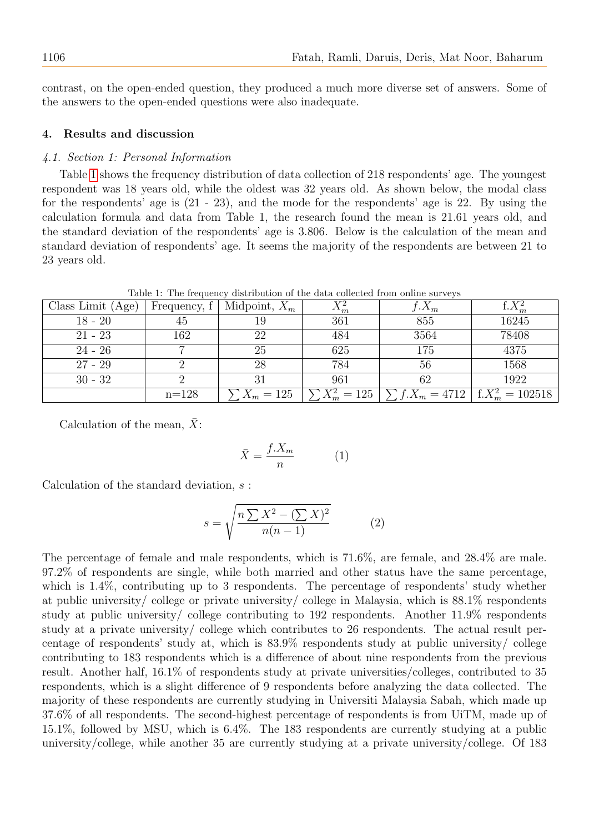contrast, on the open-ended question, they produced a much more diverse set of answers. Some of the answers to the open-ended questions were also inadequate.

## 4. Results and discussion

## 4.1. Section 1: Personal Information

Table [1](#page-3-0) shows the frequency distribution of data collection of 218 respondents' age. The youngest respondent was 18 years old, while the oldest was 32 years old. As shown below, the modal class for the respondents' age is (21 - 23), and the mode for the respondents' age is 22. By using the calculation formula and data from Table 1, the research found the mean is 21.61 years old, and the standard deviation of the respondents' age is 3.806. Below is the calculation of the mean and standard deviation of respondents' age. It seems the majority of the respondents are between 21 to 23 years old.

Table 1: The frequency distribution of the data collected from online surveys

<span id="page-3-0"></span>

| Class Limit $(Age)$ | Frequency, f <sup>+</sup> | Midpoint, $X_m$ | $\Lambda_m$                         | $\Lambda_m$    |                    |
|---------------------|---------------------------|-----------------|-------------------------------------|----------------|--------------------|
| $18 - 20$           | 45                        |                 | 361                                 | 855            | 16245              |
| $21 - 23$           | 162                       | 22              | 484                                 | 3564           | 78408              |
| $24 - 26$           |                           | 25              | 625                                 | 175            | 4375               |
| $27 - 29$           |                           | 28              | 784                                 | 56             | 1568               |
| $30 - 32$           |                           |                 | 961                                 | 62             | 1922               |
|                     | $n = 128$                 | $X_m = 125$     | $= 125$<br>$\rightarrow \mathbf{m}$ | $f.X_m = 4712$ | $f.X_m^2 = 102518$ |

Calculation of the mean,  $\bar{X}$ :

$$
\bar{X} = \frac{f.X_m}{n} \tag{1}
$$

Calculation of the standard deviation, s :

$$
s = \sqrt{\frac{n\sum X^2 - (\sum X)^2}{n(n-1)}}\tag{2}
$$

The percentage of female and male respondents, which is 71.6%, are female, and 28.4% are male. 97.2% of respondents are single, while both married and other status have the same percentage, which is  $1.4\%$ , contributing up to 3 respondents. The percentage of respondents' study whether at public university/ college or private university/ college in Malaysia, which is 88.1% respondents study at public university/ college contributing to 192 respondents. Another 11.9% respondents study at a private university/ college which contributes to 26 respondents. The actual result percentage of respondents' study at, which is 83.9% respondents study at public university/ college contributing to 183 respondents which is a difference of about nine respondents from the previous result. Another half, 16.1% of respondents study at private universities/colleges, contributed to 35 respondents, which is a slight difference of 9 respondents before analyzing the data collected. The majority of these respondents are currently studying in Universiti Malaysia Sabah, which made up 37.6% of all respondents. The second-highest percentage of respondents is from UiTM, made up of 15.1%, followed by MSU, which is 6.4%. The 183 respondents are currently studying at a public university/college, while another 35 are currently studying at a private university/college. Of 183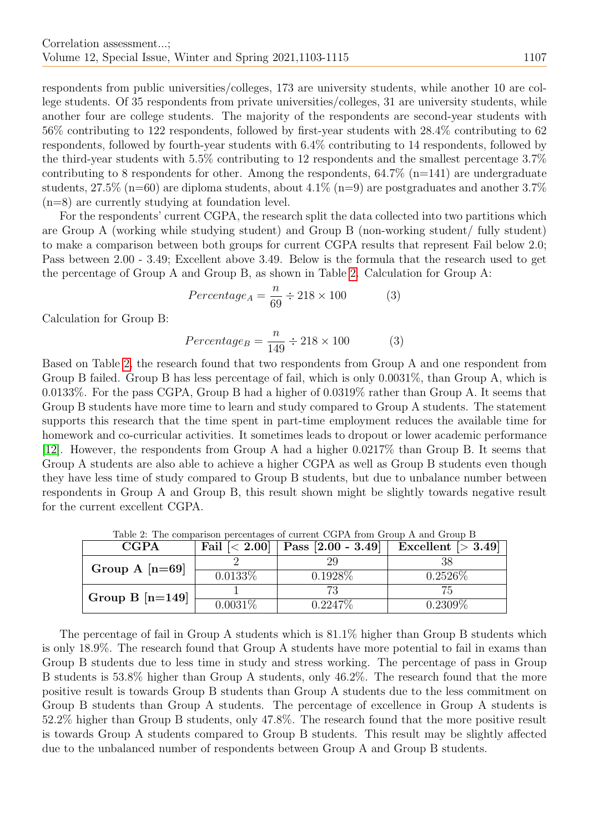respondents from public universities/colleges, 173 are university students, while another 10 are college students. Of 35 respondents from private universities/colleges, 31 are university students, while another four are college students. The majority of the respondents are second-year students with 56% contributing to 122 respondents, followed by first-year students with 28.4% contributing to 62 respondents, followed by fourth-year students with 6.4% contributing to 14 respondents, followed by the third-year students with 5.5% contributing to 12 respondents and the smallest percentage 3.7% contributing to 8 respondents for other. Among the respondents,  $64.7\%$  (n=141) are undergraduate students,  $27.5\%$  (n=60) are diploma students, about  $4.1\%$  (n=9) are postgraduates and another 3.7% (n=8) are currently studying at foundation level.

For the respondents' current CGPA, the research split the data collected into two partitions which are Group A (working while studying student) and Group B (non-working student/ fully student) to make a comparison between both groups for current CGPA results that represent Fail below 2.0; Pass between 2.00 - 3.49; Excellent above 3.49. Below is the formula that the research used to get the percentage of Group A and Group B, as shown in Table [2.](#page-4-0) Calculation for Group A:

$$
Percentage_A = \frac{n}{69} \div 218 \times 100 \tag{3}
$$

Calculation for Group B:

$$
Percentage_{B} = \frac{n}{149} \div 218 \times 100
$$
 (3)

Based on Table [2,](#page-4-0) the research found that two respondents from Group A and one respondent from Group B failed. Group B has less percentage of fail, which is only 0.0031%, than Group A, which is 0.0133%. For the pass CGPA, Group B had a higher of 0.0319% rather than Group A. It seems that Group B students have more time to learn and study compared to Group A students. The statement supports this research that the time spent in part-time employment reduces the available time for homework and co-curricular activities. It sometimes leads to dropout or lower academic performance [\[12\]](#page-11-16). However, the respondents from Group A had a higher 0.0217% than Group B. It seems that Group A students are also able to achieve a higher CGPA as well as Group B students even though they have less time of study compared to Group B students, but due to unbalance number between respondents in Group A and Group B, this result shown might be slightly towards negative result for the current excellent CGPA.

<span id="page-4-0"></span>

| <b>CGPA</b>       | Fail $\left[ < 2.00 \right]$ | $\vert$ Pass [2.00 - 3.49] | Excellent $\sim$ 3.49 |
|-------------------|------------------------------|----------------------------|-----------------------|
| Group A $[n=69]$  |                              | 29                         |                       |
|                   | $0.01\overline{33\%}$        | 0.1928\%                   | $0.2526\%$            |
| Group B $[n=149]$ |                              | 73                         |                       |
|                   | $0.0031\%$                   | 0.2247%                    | $0.2309\%$            |

Table 2: The comparison percentages of current CGPA from Group A and Group B

The percentage of fail in Group A students which is 81.1% higher than Group B students which is only 18.9%. The research found that Group A students have more potential to fail in exams than Group B students due to less time in study and stress working. The percentage of pass in Group B students is 53.8% higher than Group A students, only 46.2%. The research found that the more positive result is towards Group B students than Group A students due to the less commitment on Group B students than Group A students. The percentage of excellence in Group A students is 52.2% higher than Group B students, only 47.8%. The research found that the more positive result is towards Group A students compared to Group B students. This result may be slightly affected due to the unbalanced number of respondents between Group A and Group B students.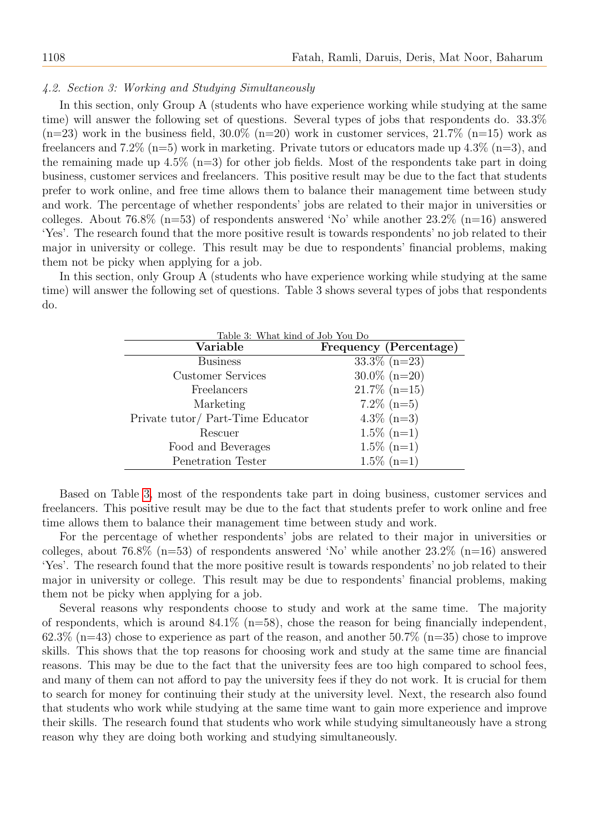## 4.2. Section 3: Working and Studying Simultaneously

In this section, only Group A (students who have experience working while studying at the same time) will answer the following set of questions. Several types of jobs that respondents do. 33.3%  $(n=23)$  work in the business field,  $30.0\%$   $(n=20)$  work in customer services,  $21.7\%$   $(n=15)$  work as freelancers and 7.2% (n=5) work in marketing. Private tutors or educators made up 4.3% (n=3), and the remaining made up  $4.5\%$  (n=3) for other job fields. Most of the respondents take part in doing business, customer services and freelancers. This positive result may be due to the fact that students prefer to work online, and free time allows them to balance their management time between study and work. The percentage of whether respondents' jobs are related to their major in universities or colleges. About 76.8% (n=53) of respondents answered 'No' while another  $23.2\%$  (n=16) answered 'Yes'. The research found that the more positive result is towards respondents' no job related to their major in university or college. This result may be due to respondents' financial problems, making them not be picky when applying for a job.

<span id="page-5-0"></span>In this section, only Group A (students who have experience working while studying at the same time) will answer the following set of questions. Table 3 shows several types of jobs that respondents do.

| Table 3: What kind of Job You Do  |                        |  |  |  |
|-----------------------------------|------------------------|--|--|--|
| Variable                          | Frequency (Percentage) |  |  |  |
| <b>Business</b>                   | $33.3\%$ (n=23)        |  |  |  |
| <b>Customer Services</b>          | $30.0\%$ (n=20)        |  |  |  |
| Freelancers                       | $21.7\%$ (n=15)        |  |  |  |
| Marketing                         | $7.2\%$ (n=5)          |  |  |  |
| Private tutor/ Part-Time Educator | $4.3\%$ (n=3)          |  |  |  |
| Rescuer                           | $1.5\%$ (n=1)          |  |  |  |
| Food and Beverages                | $1.5\%$ (n=1)          |  |  |  |
| Penetration Tester                | $1.5\%$ (n=1)          |  |  |  |

Based on Table [3,](#page-5-0) most of the respondents take part in doing business, customer services and freelancers. This positive result may be due to the fact that students prefer to work online and free time allows them to balance their management time between study and work.

For the percentage of whether respondents' jobs are related to their major in universities or colleges, about 76.8% (n=53) of respondents answered 'No' while another  $23.2\%$  (n=16) answered 'Yes'. The research found that the more positive result is towards respondents' no job related to their major in university or college. This result may be due to respondents' financial problems, making them not be picky when applying for a job.

Several reasons why respondents choose to study and work at the same time. The majority of respondents, which is around  $84.1\%$  (n=58), chose the reason for being financially independent, 62.3% (n=43) chose to experience as part of the reason, and another 50.7% (n=35) chose to improve skills. This shows that the top reasons for choosing work and study at the same time are financial reasons. This may be due to the fact that the university fees are too high compared to school fees, and many of them can not afford to pay the university fees if they do not work. It is crucial for them to search for money for continuing their study at the university level. Next, the research also found that students who work while studying at the same time want to gain more experience and improve their skills. The research found that students who work while studying simultaneously have a strong reason why they are doing both working and studying simultaneously.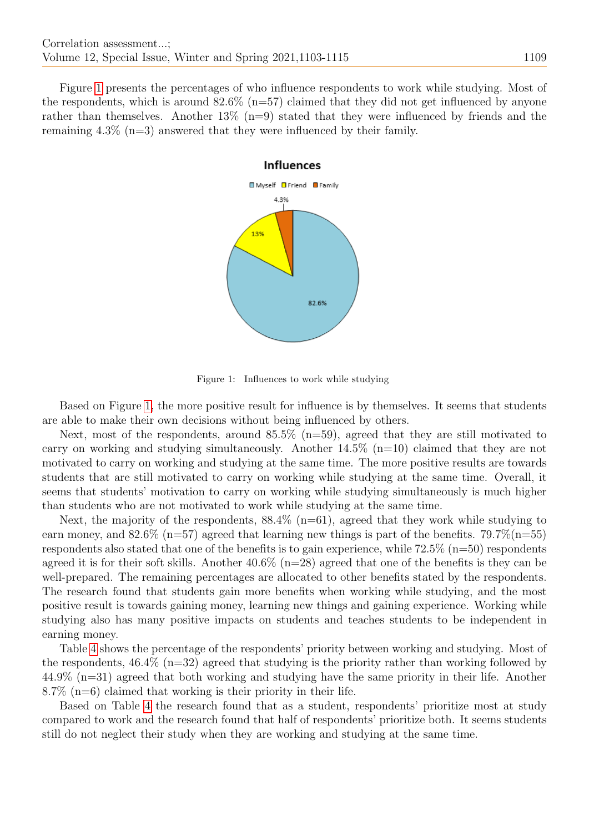Figure [1](#page-6-0) presents the percentages of who influence respondents to work while studying. Most of the respondents, which is around  $82.6\%$  (n=57) claimed that they did not get influenced by anyone rather than themselves. Another  $13\%$  (n=9) stated that they were influenced by friends and the remaining 4.3% (n=3) answered that they were influenced by their family.



<span id="page-6-0"></span>Figure 1: Influences to work while studying

Based on Figure [1,](#page-6-0) the more positive result for influence is by themselves. It seems that students are able to make their own decisions without being influenced by others.

Next, most of the respondents, around 85.5% (n=59), agreed that they are still motivated to carry on working and studying simultaneously. Another  $14.5\%$  (n=10) claimed that they are not motivated to carry on working and studying at the same time. The more positive results are towards students that are still motivated to carry on working while studying at the same time. Overall, it seems that students' motivation to carry on working while studying simultaneously is much higher than students who are not motivated to work while studying at the same time.

Next, the majority of the respondents,  $88.4\%$  (n=61), agreed that they work while studying to earn money, and 82.6% (n=57) agreed that learning new things is part of the benefits. 79.7%(n=55) respondents also stated that one of the benefits is to gain experience, while  $72.5\%$  ( $n=50$ ) respondents agreed it is for their soft skills. Another  $40.6\%$  (n=28) agreed that one of the benefits is they can be well-prepared. The remaining percentages are allocated to other benefits stated by the respondents. The research found that students gain more benefits when working while studying, and the most positive result is towards gaining money, learning new things and gaining experience. Working while studying also has many positive impacts on students and teaches students to be independent in earning money.

Table [4](#page-7-0) shows the percentage of the respondents' priority between working and studying. Most of the respondents, 46.4% (n=32) agreed that studying is the priority rather than working followed by 44.9% (n=31) agreed that both working and studying have the same priority in their life. Another 8.7% (n=6) claimed that working is their priority in their life.

Based on Table [4](#page-7-0) the research found that as a student, respondents' prioritize most at study compared to work and the research found that half of respondents' prioritize both. It seems students still do not neglect their study when they are working and studying at the same time.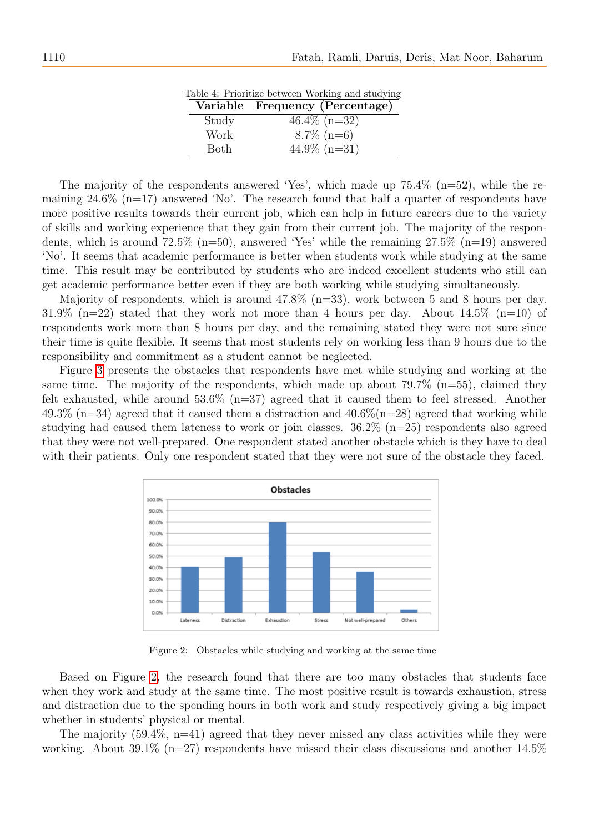|       | Lable 4. I Hommze between working and studying |
|-------|------------------------------------------------|
|       | Variable Frequency (Percentage)                |
| Study | $46.4\%$ (n=32)                                |
| Work  | $8.7\%$ (n=6)                                  |
| Both  | $44.9\%$ (n=31)                                |

Table 4: Prioritize between Working and studying

<span id="page-7-0"></span>The majority of the respondents answered 'Yes', which made up  $75.4\%$  (n=52), while the remaining  $24.6\%$  (n=17) answered 'No'. The research found that half a quarter of respondents have more positive results towards their current job, which can help in future careers due to the variety of skills and working experience that they gain from their current job. The majority of the respondents, which is around  $72.5\%$  (n=50), answered 'Yes' while the remaining  $27.5\%$  (n=19) answered 'No'. It seems that academic performance is better when students work while studying at the same time. This result may be contributed by students who are indeed excellent students who still can get academic performance better even if they are both working while studying simultaneously.

Majority of respondents, which is around 47.8% (n=33), work between 5 and 8 hours per day. 31.9% (n=22) stated that they work not more than 4 hours per day. About  $14.5\%$  (n=10) of respondents work more than 8 hours per day, and the remaining stated they were not sure since their time is quite flexible. It seems that most students rely on working less than 9 hours due to the responsibility and commitment as a student cannot be neglected.

Figure [3](#page-8-0) presents the obstacles that respondents have met while studying and working at the same time. The majority of the respondents, which made up about 79.7%  $(n=55)$ , claimed they felt exhausted, while around  $53.6\%$  (n=37) agreed that it caused them to feel stressed. Another 49.3% (n=34) agreed that it caused them a distraction and  $40.6\%$  (n=28) agreed that working while studying had caused them lateness to work or join classes.  $36.2\%$  ( $n=25$ ) respondents also agreed that they were not well-prepared. One respondent stated another obstacle which is they have to deal with their patients. Only one respondent stated that they were not sure of the obstacle they faced.



<span id="page-7-1"></span>Figure 2: Obstacles while studying and working at the same time

Based on Figure [2,](#page-7-1) the research found that there are too many obstacles that students face when they work and study at the same time. The most positive result is towards exhaustion, stress and distraction due to the spending hours in both work and study respectively giving a big impact whether in students' physical or mental.

The majority  $(59.4\%, n=41)$  agreed that they never missed any class activities while they were working. About 39.1% (n=27) respondents have missed their class discussions and another  $14.5\%$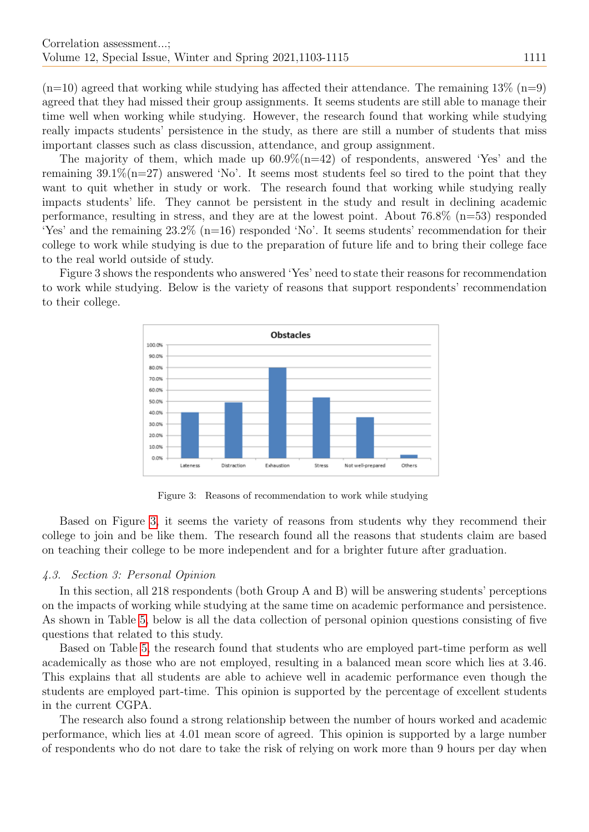$(n=10)$  agreed that working while studying has affected their attendance. The remaining  $13\%$   $(n=9)$ agreed that they had missed their group assignments. It seems students are still able to manage their time well when working while studying. However, the research found that working while studying really impacts students' persistence in the study, as there are still a number of students that miss important classes such as class discussion, attendance, and group assignment.

The majority of them, which made up  $60.9\%$  (n=42) of respondents, answered 'Yes' and the remaining  $39.1\%$  (n=27) answered 'No'. It seems most students feel so tired to the point that they want to quit whether in study or work. The research found that working while studying really impacts students' life. They cannot be persistent in the study and result in declining academic performance, resulting in stress, and they are at the lowest point. About 76.8% (n=53) responded 'Yes' and the remaining  $23.2\%$  (n=16) responded 'No'. It seems students' recommendation for their college to work while studying is due to the preparation of future life and to bring their college face to the real world outside of study.

Figure 3 shows the respondents who answered 'Yes' need to state their reasons for recommendation to work while studying. Below is the variety of reasons that support respondents' recommendation to their college.



<span id="page-8-0"></span>Figure 3: Reasons of recommendation to work while studying

Based on Figure [3,](#page-8-0) it seems the variety of reasons from students why they recommend their college to join and be like them. The research found all the reasons that students claim are based on teaching their college to be more independent and for a brighter future after graduation.

#### 4.3. Section 3: Personal Opinion

In this section, all 218 respondents (both Group A and B) will be answering students' perceptions on the impacts of working while studying at the same time on academic performance and persistence. As shown in Table [5,](#page-9-0) below is all the data collection of personal opinion questions consisting of five questions that related to this study.

Based on Table [5,](#page-9-0) the research found that students who are employed part-time perform as well academically as those who are not employed, resulting in a balanced mean score which lies at 3.46. This explains that all students are able to achieve well in academic performance even though the students are employed part-time. This opinion is supported by the percentage of excellent students in the current CGPA.

The research also found a strong relationship between the number of hours worked and academic performance, which lies at 4.01 mean score of agreed. This opinion is supported by a large number of respondents who do not dare to take the risk of relying on work more than 9 hours per day when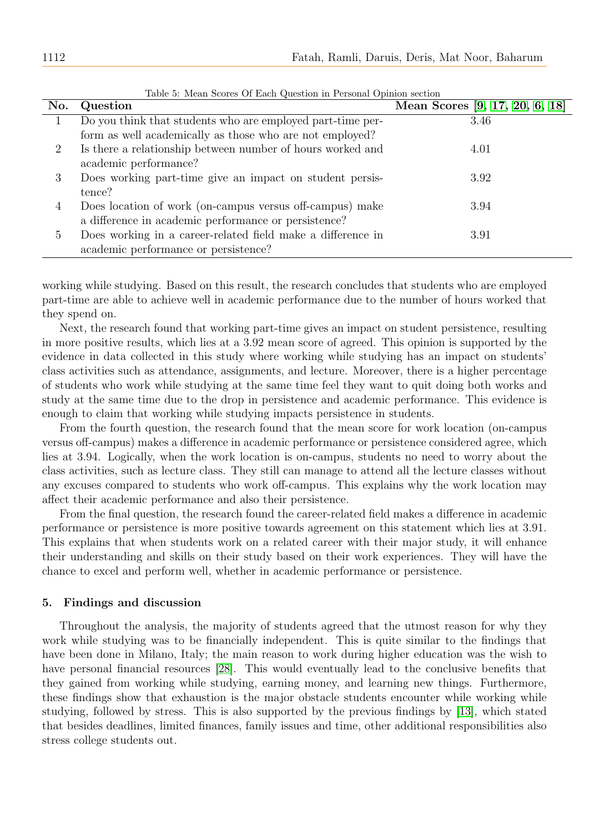<span id="page-9-0"></span>

| No. | Question                                                    | Mean Scores [9, 17, 20, 6, 18] |
|-----|-------------------------------------------------------------|--------------------------------|
|     | Do you think that students who are employed part-time per-  | 3.46                           |
|     | form as well academically as those who are not employed?    |                                |
| 2   | Is there a relationship between number of hours worked and  | 4.01                           |
|     | academic performance?                                       |                                |
| 3   | Does working part-time give an impact on student persis-    | 3.92                           |
|     | tence?                                                      |                                |
| 4   | Does location of work (on-campus versus off-campus) make    | 3.94                           |
|     | a difference in academic performance or persistence?        |                                |
| 5   | Does working in a career-related field make a difference in | 3.91                           |
|     | academic performance or persistence?                        |                                |

Table 5: Mean Scores Of Each Question in Personal Opinion section

working while studying. Based on this result, the research concludes that students who are employed part-time are able to achieve well in academic performance due to the number of hours worked that they spend on.

Next, the research found that working part-time gives an impact on student persistence, resulting in more positive results, which lies at a 3.92 mean score of agreed. This opinion is supported by the evidence in data collected in this study where working while studying has an impact on students' class activities such as attendance, assignments, and lecture. Moreover, there is a higher percentage of students who work while studying at the same time feel they want to quit doing both works and study at the same time due to the drop in persistence and academic performance. This evidence is enough to claim that working while studying impacts persistence in students.

From the fourth question, the research found that the mean score for work location (on-campus versus off-campus) makes a difference in academic performance or persistence considered agree, which lies at 3.94. Logically, when the work location is on-campus, students no need to worry about the class activities, such as lecture class. They still can manage to attend all the lecture classes without any excuses compared to students who work off-campus. This explains why the work location may affect their academic performance and also their persistence.

From the final question, the research found the career-related field makes a difference in academic performance or persistence is more positive towards agreement on this statement which lies at 3.91. This explains that when students work on a related career with their major study, it will enhance their understanding and skills on their study based on their work experiences. They will have the chance to excel and perform well, whether in academic performance or persistence.

#### 5. Findings and discussion

Throughout the analysis, the majority of students agreed that the utmost reason for why they work while studying was to be financially independent. This is quite similar to the findings that have been done in Milano, Italy; the main reason to work during higher education was the wish to have personal financial resources [\[28\]](#page-12-13). This would eventually lead to the conclusive benefits that they gained from working while studying, earning money, and learning new things. Furthermore, these findings show that exhaustion is the major obstacle students encounter while working while studying, followed by stress. This is also supported by the previous findings by [\[13\]](#page-11-17), which stated that besides deadlines, limited finances, family issues and time, other additional responsibilities also stress college students out.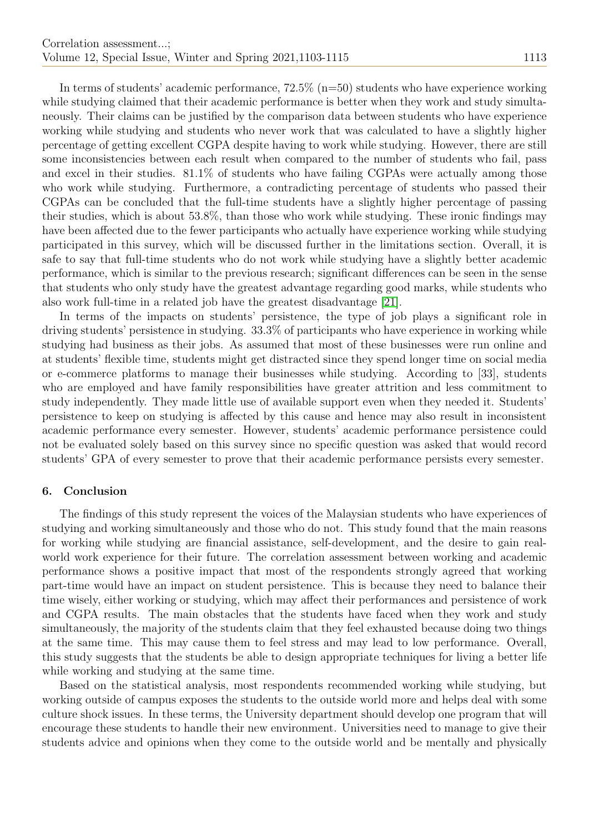In terms of students' academic performance,  $72.5\%$  ( $n=50$ ) students who have experience working while studying claimed that their academic performance is better when they work and study simultaneously. Their claims can be justified by the comparison data between students who have experience working while studying and students who never work that was calculated to have a slightly higher percentage of getting excellent CGPA despite having to work while studying. However, there are still some inconsistencies between each result when compared to the number of students who fail, pass and excel in their studies. 81.1% of students who have failing CGPAs were actually among those who work while studying. Furthermore, a contradicting percentage of students who passed their CGPAs can be concluded that the full-time students have a slightly higher percentage of passing their studies, which is about 53.8%, than those who work while studying. These ironic findings may have been affected due to the fewer participants who actually have experience working while studying participated in this survey, which will be discussed further in the limitations section. Overall, it is safe to say that full-time students who do not work while studying have a slightly better academic performance, which is similar to the previous research; significant differences can be seen in the sense that students who only study have the greatest advantage regarding good marks, while students who also work full-time in a related job have the greatest disadvantage [\[21\]](#page-12-9).

In terms of the impacts on students' persistence, the type of job plays a significant role in driving students' persistence in studying. 33.3% of participants who have experience in working while studying had business as their jobs. As assumed that most of these businesses were run online and at students' flexible time, students might get distracted since they spend longer time on social media or e-commerce platforms to manage their businesses while studying. According to [33], students who are employed and have family responsibilities have greater attrition and less commitment to study independently. They made little use of available support even when they needed it. Students' persistence to keep on studying is affected by this cause and hence may also result in inconsistent academic performance every semester. However, students' academic performance persistence could not be evaluated solely based on this survey since no specific question was asked that would record students' GPA of every semester to prove that their academic performance persists every semester.

## 6. Conclusion

The findings of this study represent the voices of the Malaysian students who have experiences of studying and working simultaneously and those who do not. This study found that the main reasons for working while studying are financial assistance, self-development, and the desire to gain realworld work experience for their future. The correlation assessment between working and academic performance shows a positive impact that most of the respondents strongly agreed that working part-time would have an impact on student persistence. This is because they need to balance their time wisely, either working or studying, which may affect their performances and persistence of work and CGPA results. The main obstacles that the students have faced when they work and study simultaneously, the majority of the students claim that they feel exhausted because doing two things at the same time. This may cause them to feel stress and may lead to low performance. Overall, this study suggests that the students be able to design appropriate techniques for living a better life while working and studying at the same time.

Based on the statistical analysis, most respondents recommended working while studying, but working outside of campus exposes the students to the outside world more and helps deal with some culture shock issues. In these terms, the University department should develop one program that will encourage these students to handle their new environment. Universities need to manage to give their students advice and opinions when they come to the outside world and be mentally and physically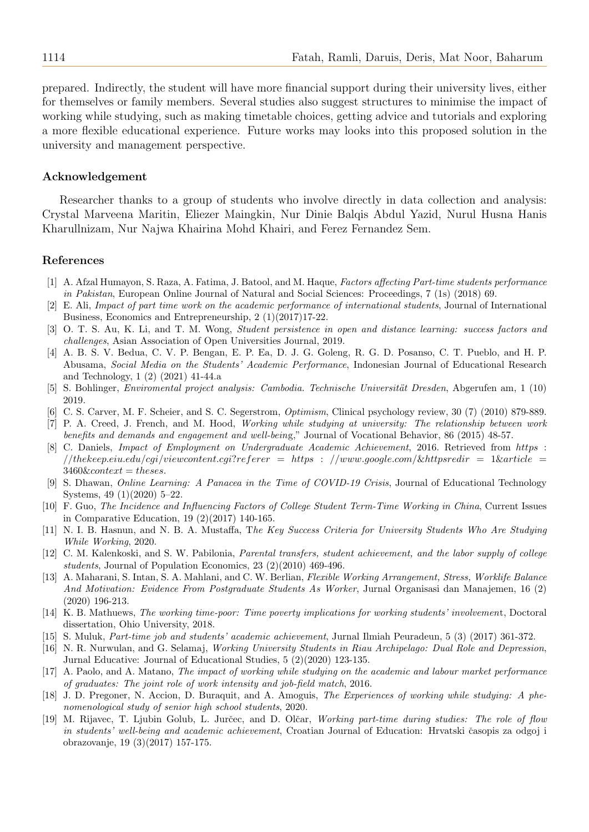prepared. Indirectly, the student will have more financial support during their university lives, either for themselves or family members. Several studies also suggest structures to minimise the impact of working while studying, such as making timetable choices, getting advice and tutorials and exploring a more flexible educational experience. Future works may looks into this proposed solution in the university and management perspective.

#### Acknowledgement

Researcher thanks to a group of students who involve directly in data collection and analysis: Crystal Marveena Maritin, Eliezer Maingkin, Nur Dinie Balqis Abdul Yazid, Nurul Husna Hanis Kharullnizam, Nur Najwa Khairina Mohd Khairi, and Ferez Fernandez Sem.

#### References

- <span id="page-11-6"></span>[1] A. Afzal Humayon, S. Raza, A. Fatima, J. Batool, and M. Haque, Factors affecting Part-time students performance in Pakistan, European Online Journal of Natural and Social Sciences: Proceedings, 7 (1s) (2018) 69.
- <span id="page-11-10"></span>[2] E. Ali, Impact of part time work on the academic performance of international students, Journal of International Business, Economics and Entrepreneurship, 2 (1)(2017)17-22.
- [3] O. T. S. Au, K. Li, and T. M. Wong, Student persistence in open and distance learning: success factors and challenges, Asian Association of Open Universities Journal, 2019.
- <span id="page-11-11"></span>[4] A. B. S. V. Bedua, C. V. P. Bengan, E. P. Ea, D. J. G. Goleng, R. G. D. Posanso, C. T. Pueblo, and H. P. Abusama, Social Media on the Students' Academic Performance, Indonesian Journal of Educational Research and Technology, 1 (2) (2021) 41-44.a
- <span id="page-11-8"></span>[5] S. Bohlinger, *Enviromental project analysis: Cambodia. Technische Universität Dresden*, Abgerufen am, 1 (10) 2019.
- <span id="page-11-15"></span><span id="page-11-2"></span>[6] C. S. Carver, M. F. Scheier, and S. C. Segerstrom, Optimism, Clinical psychology review, 30 (7) (2010) 879-889. [7] P. A. Creed, J. French, and M. Hood, Working while studying at university: The relationship between work
- benefits and demands and engagement and well-being," Journal of Vocational Behavior, 86 (2015) 48-57.
- <span id="page-11-12"></span>[8] C. Daniels, Impact of Employment on Undergraduate Academic Achievement, 2016. Retrieved from https :  $// the keep.eiu.edu/cgi/viewcontent.cgi? referer =$  $3460\&context = theses.$
- <span id="page-11-0"></span>[9] S. Dhawan, Online Learning: A Panacea in the Time of COVID-19 Crisis, Journal of Educational Technology Systems, 49 (1)(2020) 5–22.
- <span id="page-11-4"></span>[10] F. Guo, The Incidence and Influencing Factors of College Student Term-Time Working in China, Current Issues in Comparative Education, 19 (2)(2017) 140-165.
- <span id="page-11-13"></span>[11] N. I. B. Hasnun, and N. B. A. Mustaffa, The Key Success Criteria for University Students Who Are Studying While Working, 2020.
- <span id="page-11-16"></span>[12] C. M. Kalenkoski, and S. W. Pabilonia, Parental transfers, student achievement, and the labor supply of college students, Journal of Population Economics, 23 (2)(2010) 469-496.
- <span id="page-11-17"></span>[13] A. Maharani, S. Intan, S. A. Mahlani, and C. W. Berlian, Flexible Working Arrangement, Stress, Worklife Balance And Motivation: Evidence From Postgraduate Students As Worker, Jurnal Organisasi dan Manajemen, 16 (2) (2020) 196-213.
- <span id="page-11-14"></span>[14] K. B. Mathuews, The working time-poor: Time poverty implications for working students' involvement, Doctoral dissertation, Ohio University, 2018.
- <span id="page-11-9"></span>[15] S. Muluk, Part-time job and students' academic achievement, Jurnal Ilmiah Peuradeun, 5 (3) (2017) 361-372.
- <span id="page-11-5"></span>[16] N. R. Nurwulan, and G. Selamaj, Working University Students in Riau Archipelago: Dual Role and Depression, Jurnal Educative: Journal of Educational Studies, 5 (2)(2020) 123-135.
- <span id="page-11-1"></span>[17] A. Paolo, and A. Matano, The impact of working while studying on the academic and labour market performance of graduates: The joint role of work intensity and job-field match, 2016.
- <span id="page-11-3"></span>[18] J. D. Pregoner, N. Accion, D. Buraquit, and A. Amoguis, The Experiences of working while studying: A phenomenological study of senior high school students, 2020.
- <span id="page-11-7"></span>[19] M. Rijavec, T. Ljubin Golub, L. Jurčec, and D. Olčar, Working part-time during studies: The role of flow in students' well-being and academic achievement, Croatian Journal of Education: Hrvatski časopis za odgoj i obrazovanje, 19 (3)(2017) 157-175.